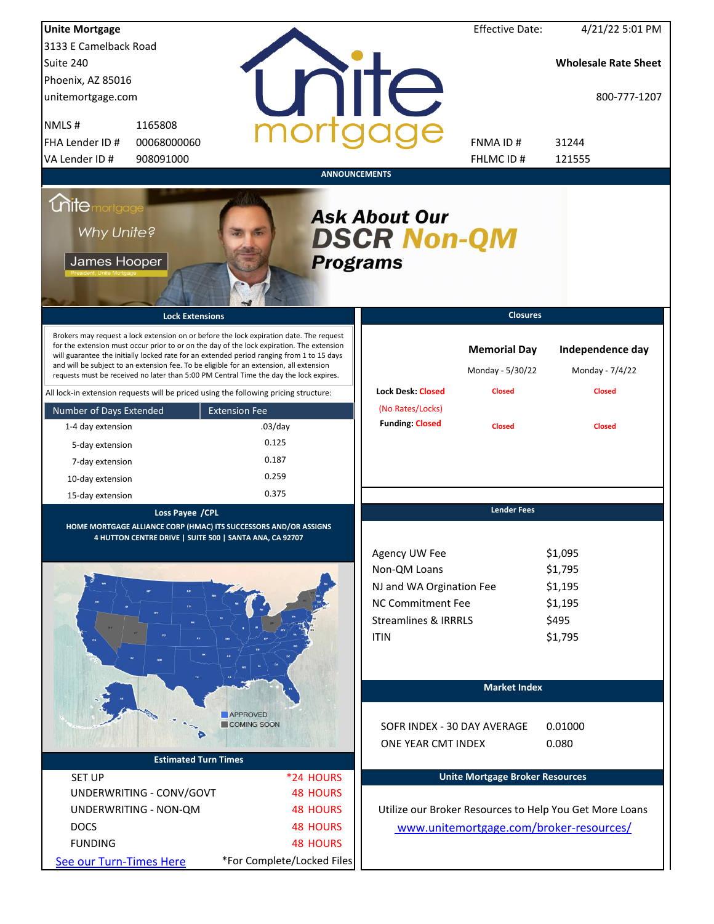| <b>Unite Mortgage</b>                                                                                                                                                                                                                                                                                                                                                                                                                                                  |                                                         |                      |                                                                                                                                  | <b>Effective Date:</b>                  | 4/21/22 5:01 PM                                              |
|------------------------------------------------------------------------------------------------------------------------------------------------------------------------------------------------------------------------------------------------------------------------------------------------------------------------------------------------------------------------------------------------------------------------------------------------------------------------|---------------------------------------------------------|----------------------|----------------------------------------------------------------------------------------------------------------------------------|-----------------------------------------|--------------------------------------------------------------|
| 3133 E Camelback Road                                                                                                                                                                                                                                                                                                                                                                                                                                                  |                                                         |                      |                                                                                                                                  |                                         |                                                              |
| Suite 240                                                                                                                                                                                                                                                                                                                                                                                                                                                              |                                                         |                      |                                                                                                                                  |                                         | <b>Wholesale Rate Sheet</b>                                  |
| Phoenix, AZ 85016                                                                                                                                                                                                                                                                                                                                                                                                                                                      |                                                         |                      |                                                                                                                                  |                                         |                                                              |
| unitemortgage.com                                                                                                                                                                                                                                                                                                                                                                                                                                                      |                                                         |                      | nite                                                                                                                             |                                         | 800-777-1207                                                 |
| NMLS#<br>1165808                                                                                                                                                                                                                                                                                                                                                                                                                                                       |                                                         |                      |                                                                                                                                  |                                         |                                                              |
| FHA Lender ID #<br>00068000060                                                                                                                                                                                                                                                                                                                                                                                                                                         |                                                         |                      |                                                                                                                                  | <b>FNMAID#</b>                          | 31244                                                        |
| VA Lender ID #<br>908091000                                                                                                                                                                                                                                                                                                                                                                                                                                            |                                                         |                      |                                                                                                                                  | FHLMC ID#                               | 121555                                                       |
|                                                                                                                                                                                                                                                                                                                                                                                                                                                                        |                                                         | <b>ANNOUNCEMENTS</b> |                                                                                                                                  |                                         |                                                              |
| <i><u><b>Chitemortgage</b></u></i><br>Why Unite?<br>James Hooper                                                                                                                                                                                                                                                                                                                                                                                                       |                                                         | <b>Programs</b>      | <b>Ask About Our</b><br><b>DSCR Non-QM</b>                                                                                       |                                         |                                                              |
| <b>Lock Extensions</b>                                                                                                                                                                                                                                                                                                                                                                                                                                                 |                                                         |                      |                                                                                                                                  | <b>Closures</b>                         |                                                              |
| Brokers may request a lock extension on or before the lock expiration date. The request<br>for the extension must occur prior to or on the day of the lock expiration. The extension<br>will guarantee the initially locked rate for an extended period ranging from 1 to 15 days<br>and will be subject to an extension fee. To be eligible for an extension, all extension<br>requests must be received no later than 5:00 PM Central Time the day the lock expires. |                                                         |                      |                                                                                                                                  | <b>Memorial Day</b><br>Monday - 5/30/22 | Independence day<br>Monday - 7/4/22                          |
| All lock-in extension requests will be priced using the following pricing structure:                                                                                                                                                                                                                                                                                                                                                                                   |                                                         |                      | <b>Lock Desk: Closed</b>                                                                                                         | <b>Closed</b>                           | <b>Closed</b>                                                |
| Number of Days Extended                                                                                                                                                                                                                                                                                                                                                                                                                                                | <b>Extension Fee</b>                                    |                      | (No Rates/Locks)                                                                                                                 |                                         |                                                              |
| 1-4 day extension                                                                                                                                                                                                                                                                                                                                                                                                                                                      | $.03$ /day                                              |                      | <b>Funding: Closed</b>                                                                                                           | <b>Closed</b>                           | <b>Closed</b>                                                |
| 5-day extension                                                                                                                                                                                                                                                                                                                                                                                                                                                        | 0.125                                                   |                      |                                                                                                                                  |                                         |                                                              |
| 7-day extension                                                                                                                                                                                                                                                                                                                                                                                                                                                        | 0.187                                                   |                      |                                                                                                                                  |                                         |                                                              |
| 10-day extension                                                                                                                                                                                                                                                                                                                                                                                                                                                       | 0.259                                                   |                      |                                                                                                                                  |                                         |                                                              |
| 15-day extension                                                                                                                                                                                                                                                                                                                                                                                                                                                       | 0.375                                                   |                      |                                                                                                                                  |                                         |                                                              |
| Loss Payee / CPL<br>HOME MORTGAGE ALLIANCE CORP (HMAC) ITS SUCCESSORS AND/OR ASSIGNS                                                                                                                                                                                                                                                                                                                                                                                   | 4 HUTTON CENTRE DRIVE   SUITE 500   SANTA ANA, CA 92707 |                      | Agency UW Fee<br>Non-QM Loans<br>NJ and WA Orgination Fee<br>NC Commitment Fee<br><b>Streamlines &amp; IRRRLS</b><br><b>ITIN</b> | <b>Lender Fees</b>                      | \$1,095<br>\$1,795<br>\$1,195<br>\$1,195<br>\$495<br>\$1,795 |
|                                                                                                                                                                                                                                                                                                                                                                                                                                                                        |                                                         |                      |                                                                                                                                  | <b>Market Index</b>                     |                                                              |
|                                                                                                                                                                                                                                                                                                                                                                                                                                                                        | <b>APPROVED</b><br>COMING SOON                          |                      | SOFR INDEX - 30 DAY AVERAGE<br>ONE YEAR CMT INDEX                                                                                |                                         | 0.01000<br>0.080                                             |
|                                                                                                                                                                                                                                                                                                                                                                                                                                                                        | <b>Estimated Turn Times</b>                             |                      |                                                                                                                                  |                                         |                                                              |
| <b>SET UP</b>                                                                                                                                                                                                                                                                                                                                                                                                                                                          |                                                         | *24 HOURS            |                                                                                                                                  | <b>Unite Mortgage Broker Resources</b>  |                                                              |
| UNDERWRITING - CONV/GOVT                                                                                                                                                                                                                                                                                                                                                                                                                                               |                                                         | <b>48 HOURS</b>      |                                                                                                                                  |                                         |                                                              |
| UNDERWRITING - NON-QM                                                                                                                                                                                                                                                                                                                                                                                                                                                  |                                                         | <b>48 HOURS</b>      |                                                                                                                                  |                                         | Utilize our Broker Resources to Help You Get More Loans      |
| <b>DOCS</b>                                                                                                                                                                                                                                                                                                                                                                                                                                                            |                                                         | <b>48 HOURS</b>      |                                                                                                                                  |                                         | www.unitemortgage.com/broker-resources/                      |
| <b>FUNDING</b>                                                                                                                                                                                                                                                                                                                                                                                                                                                         |                                                         | <b>48 HOURS</b>      |                                                                                                                                  |                                         |                                                              |
| See our Turn-Times Here                                                                                                                                                                                                                                                                                                                                                                                                                                                | *For Complete/Locked Files                              |                      |                                                                                                                                  |                                         |                                                              |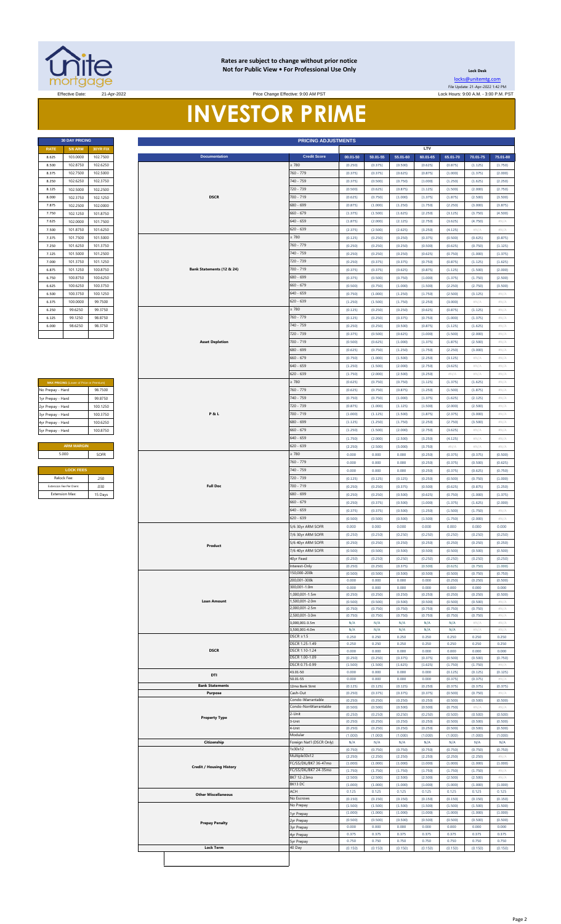

#### **Rates are subject to change without prior notice Not for Public View • For Professional Use Only**

**Lock Desk** [locks@unitemtg](mailto:locks@unitemtg.com).com File Update: 21-Apr-2022 1:42 PM

#### Effective Date: 21-Apr-2022 Lock Hours: 9:00 A.M. - 3:00 P.M. PST Price Change Effective: 9:00 AM PST

**INVESTOR PRIME**

|             | <b>30 DAY PRICING</b> |                 |
|-------------|-----------------------|-----------------|
| <b>RATE</b> | <b>5/6 ARM</b>        | <b>30YR FIX</b> |
| 8.625       | 103.0000              | 102.7500        |
| 8.500       | 1028750               | 102 6250        |
| 8.375       | 102.7500              | 102.5000        |
| 8.250       | 102.6250              | 102.3750        |
| 8.125       | 102 5000              | 1022500         |
| 8.000       | 102.3750              | 102.1250        |
| 7.875       | 102.2500              | 102.0000        |
| 7.750       | 102.1250              | 101.8750        |
| 7.625       | 102.0000              | 101.7500        |
| 7.500       | 101.8750              | 101.6250        |
| 7.375       | 101.7500              | 101.5000        |
| 7.250       | 101.6250              | 101.3750        |
| 7.125       | 101.5000              | 101.2500        |
| 7.000       | 101.3750              | 101.1250        |
| 6.875       | 101.1250              | 100.8750        |
| 6.750       | 100.8750              | 100.6250        |
| 6.625       | 100 6250              | 100.3750        |
| 6.500       | 100 3750              | 100.1250        |
| 6.375       | 100 0000              | 99.7500         |
| 6.250       | 996250                | 99 3750         |
| 6.125       | 99.1250               | 98.8750         |
| 6.000       | 986250                | 98 3750         |

| <b>MAX PRICING (Lower of Price or Premium)</b> |          |  |  |  |  |
|------------------------------------------------|----------|--|--|--|--|
| No Prepay - Hard<br>98 7500                    |          |  |  |  |  |
| 1yr Prepay - Hard                              | 99 8750  |  |  |  |  |
| 2yr Prepay - Hard                              | 100 1250 |  |  |  |  |
| 3yr Prepay - Hard                              | 100 3750 |  |  |  |  |
| 4yr Prepay - Hard                              | 100 6250 |  |  |  |  |
| 5yr Prepay - Hard                              | 100.8750 |  |  |  |  |
|                                                |          |  |  |  |  |
| <b>ARM MARGIN</b>                              |          |  |  |  |  |
| 5.000                                          | SOFR     |  |  |  |  |
|                                                |          |  |  |  |  |
| <b>LOCK FEES</b>                               |          |  |  |  |  |

| Relock Fee:             | 250     |
|-------------------------|---------|
| Extension Fee Per Diem: | 030     |
| <b>Extension Max:</b>   | 15 Days |
|                         |         |

|                   | <b>30 DAY PRICING</b>                  |          |  |                                                           | <b>PRICING ADJUSTMENTS</b>             |                                  |                    |                    |                    |                    |                    |                            |
|-------------------|----------------------------------------|----------|--|-----------------------------------------------------------|----------------------------------------|----------------------------------|--------------------|--------------------|--------------------|--------------------|--------------------|----------------------------|
| <b>RATE</b>       | <b>5/6 ARM</b>                         | 30YR FIX |  |                                                           |                                        |                                  |                    |                    | LTV                |                    |                    |                            |
| 8.625             | 103.0000                               | 102.7500 |  | <b>Documentation</b>                                      | <b>Credit Score</b>                    | 00.01-50                         | 50.01-55           | 55.01-60           | 60.01-65           | 65.01-70           | 70.01-75           | 75.01-80                   |
| 8.500             | 102.8750                               | 102.6250 |  |                                                           | $\geq 780$                             | (0.250)                          | (0.375)            | (0.500)            | (0.625)            | (0.875)            | (1.125)            | (1.750)                    |
| 8.375             | 102.7500                               | 102.5000 |  |                                                           | 760 - 779                              | (0.375)                          | (0.375)            | (0.625)            | (0.875)            | (1.000)            | (1.375)            | (2.000)                    |
| 8.250             | 102.6250                               | 102.3750 |  |                                                           | 740 - 759                              | (0.375)                          | (0.500)            | (0.750)            | (1.000)            | (1.250)            | (1.625)            | (2.250)                    |
| 8.125             | 102.5000                               | 102.2500 |  |                                                           | 720 - 739                              | (0.500)                          | (0.625)            | (0.875)            | (1.125)            | (1.500)            | (2.000)            | (2.750)                    |
| 8.000             | 102.3750                               | 102.1250 |  | <b>DSCR</b>                                               | 700 - 719                              | (0.625)                          | (0.750)            | (1.000)            | (1.375)            | (1.875)            | (2.500)            | (3.500)                    |
| 7.875             | 102.2500                               | 102.0000 |  |                                                           | 680 - 699                              | (0.875)                          | (1.000)            | (1.250)            | (1.750)            | (2.250)            | (3.000)            | (3.875)                    |
|                   |                                        |          |  |                                                           | $660 - 679$                            |                                  |                    |                    |                    |                    |                    |                            |
| 7.750             | 102.1250                               | 101.8750 |  |                                                           |                                        | (1.375)                          | (1.500)            | (1.625)            | (2.250)            | (3.125)            | (3.750)            | (4.500)                    |
| 7.625             | 102.0000                               | 101.7500 |  |                                                           | $640 - 659$                            | (1.875)                          | (2.000)            | (2.125)            | (2.750)            | (3.625)            | (4.750)            | #N/A                       |
| 7.500             | 101.8750                               | 101.6250 |  |                                                           | $620 - 639$                            | (2.375)                          | (2.500)            | (2.625)            | (3.250)            | (4.125)            | $\#N/A$            | #N/A                       |
| 7.375             | 101.7500                               | 101.5000 |  |                                                           | $\geq 780$                             | (0.125)                          | (0.250)            | (0.250)            | (0.375)            | (0.500)            | (0.625)            | (0.875)                    |
| 7.250             | 101.6250                               | 101.3750 |  |                                                           | 760 - 779                              | (0.250)                          | (0.250)            | (0.250)            | (0.500)            | (0.625)            | (0.750)            | (1.125)                    |
| 7.125             | 101.5000                               | 101.2500 |  |                                                           | 740 - 759                              | (0.250)                          | (0.250)            | (0.250)            | (0.625)            | (0.750)            | (1.000)            | (1.375)                    |
| 7.000             | 101.3750                               | 101.1250 |  |                                                           | 720 - 739                              | (0.250)                          | (0.375)            | (0.375)            | (0.750)            | (0.875)            | (1.125)            | (1.625)                    |
| 6.875             | 101.1250                               | 100.8750 |  | Bank Statements (12 & 24)                                 | 700 - 719                              | (0.375)                          | (0.375)            | (0.625)            | (0.875)            | (1.125)            | (1.500)            | (2.000)                    |
| 6.750             | 100.8750                               | 100.6250 |  |                                                           | 680 - 699                              | (0.375)                          | (0.500)            | (0.750)            | (1.000)            | (1.375)            | (1.750)            | (2.500)                    |
| 6.625             | 100.6250                               | 100.3750 |  |                                                           | $660 - 679$                            | (0.500)                          | (0.750)            | (1.000)            | (1.500)            | (2.250)            | (2.750)            | (3.500)                    |
| 6.500             | 100.3750                               | 100.1250 |  |                                                           | 640 - 659                              | (0.750)                          | (1.000)            | (1.250)            | (1.750)            | (2.500)            | (3.125)            | #N/ $\rho$                 |
| 6.375             | 100.0000                               | 99.7500  |  |                                                           | $620 - 639$                            | (1.250)                          | (1.500)            | (1.750)            | (2.250)            | (3.000)            | #N/A               | #N/A                       |
|                   |                                        |          |  |                                                           |                                        |                                  |                    |                    |                    |                    |                    |                            |
| 6.250             | 99.6250                                | 99.3750  |  |                                                           | $\geq 780$                             | (0.125)                          | (0.250)            | (0.250)            | (0.625)            | (0.875)            | (1.125)            | $\#N/A$                    |
| 6.125             | 99.1250                                | 98.8750  |  |                                                           | 760 - 779                              | (0.125)                          | (0.250)            | (0.375)            | (0.750)            | (1.000)            | (1.375)            | #N/A                       |
| 6.000             | 98.6250                                | 98.3750  |  |                                                           | 740 - 759                              | (0.250)                          | (0.250)            | (0.500)            | (0.875)            | (1.125)            | (1.625)            | #N/A                       |
|                   |                                        |          |  |                                                           | 720 - 739                              | (0.375)                          | (0.500)            | (0.625)            | (1.000)            | (1.500)            | (2.000)            | #N/A                       |
|                   |                                        |          |  | <b>Asset Depletion</b>                                    | 700 - 719                              | (0.500)                          | (0.625)            | (1.000)            | (1.375)            | (1.875)            | (2.500)            | #N/A                       |
|                   |                                        |          |  |                                                           | 680 - 699                              | (0.625)                          | (0.750)            | (1.250)            | (1.750)            | (2.250)            | (3.000)            | #N/A                       |
|                   |                                        |          |  |                                                           | $660 - 679$                            | (0.750)                          | (1.000)            | (1.500)            | (2.250)            | (3.125)            | #N/A               | #N/A                       |
|                   |                                        |          |  |                                                           | 640 - 659                              | (1.250)                          | (1.500)            | (2.000)            | (2.750)            | (3.625)            | #N/A               | #N/A                       |
|                   |                                        |          |  |                                                           | 620 - 639                              | (1.750)                          | (2.000)            | (2.500)            | (3.250)            | #N/A               | $\#N/A$            | $\#N/A$                    |
|                   | MAX PRICING (Lower of Price or Premium |          |  |                                                           | $\geq 780$                             | (0.625)                          | (0.750)            | (0.750)            | (1.125)            | (1.375)            | (1.625)            | $\# \mathbb{N}/\mathbb{A}$ |
|                   |                                        | 98.7500  |  |                                                           | 760 - 779                              | (0.625)                          | (0.750)            | (0.875)            | (1.250)            | (1.500)            | (1.875)            | #N/A                       |
| No Prepay - Hard  |                                        |          |  |                                                           | 740 - 759                              |                                  |                    |                    |                    |                    |                    |                            |
| 1yr Prepay - Hard |                                        | 99.8750  |  |                                                           |                                        | (0.750)                          | (0.750)            | (1.000)            | (1.375)            | (1.625)            | (2.125)            | #N/A                       |
| 2yr Prepay - Hard |                                        | 100.1250 |  |                                                           | 720 - 739                              | (0.875)                          | (1.000)            | (1.125)            | (1.500)            | (2.000)            | (2.500)            | #N/A                       |
| 3yr Prepay - Hard |                                        | 100.3750 |  | P&L                                                       | 700 - 719                              | (1.000)                          | (1.125)            | (1.500)            | (1.875)            | (2.375)            | (3.000)            | #N/A                       |
| 4yr Prepay - Hard |                                        | 100.6250 |  |                                                           | 680 - 699                              | (1.125)                          | (1.250)            | (1.750)            | (2.250)            | (2.750)            | (3.500)            | #N/A                       |
| 5yr Prepay - Hard |                                        | 100.8750 |  |                                                           | $660 - 679$                            | (1.250)                          | (1.500)            | (2.000)            | (2.750)            | (3.625)            | #N/A               | $\#N/A$                    |
|                   |                                        |          |  |                                                           | $640 - 659$                            | (1.750)                          | (2.000)            | (2.500)            | (3.250)            | (4.125)            | #N/A               | #N/A                       |
|                   | <b>ARM MARGIN</b>                      |          |  |                                                           | 620 - 639                              | (2.250)                          | (2.500)            | (3.000)            | (3.750)            | #N/A               | #N/A               | #N/A                       |
|                   | 5.000                                  | SOFR     |  |                                                           | $\geq 780$                             | 0.000                            | 0.000              | 0.000              | (0.250)            | (0.375)            | (0.375)            | (0.500)                    |
|                   |                                        |          |  |                                                           | 760 - 779                              | 0.000                            | 0.000              | 0.000              | (0.250)            | (0.375)            | (0.500)            | (0.625)                    |
|                   | <b>LOCK FEES</b>                       |          |  |                                                           | 740 - 759                              | 0.000                            | 0.000              | 0.000              | (0.250)            | (0.375)            | (0.625)            | (0.750)                    |
|                   | Relock Fee:                            | .250     |  |                                                           |                                        | (0.125)                          | (0.125)            | (0.125)            | (0.250)            | (0.500)            | (0.750)            | (1.000)                    |
|                   | Extension Fee Per Diem                 |          |  | <b>Full Doc</b>                                           | 720 - 739<br>700 - 719                 |                                  |                    |                    |                    |                    |                    |                            |
|                   |                                        | .030     |  |                                                           |                                        | (0.250)                          | (0.250)            | (0.375)            | (0.500)            | (0.625)            | (0.875)            | (1.250)                    |
|                   | <b>Extension Max:</b>                  | 15 Days  |  |                                                           | 680 - 699                              | (0.250)                          | (0.250)            | (0.500)            | (0.625)            | (0.750)            | (1.000)            | (1.375)                    |
|                   |                                        |          |  |                                                           | $660 - 679$                            | (0.250)                          | (0.375)            | (0.500)            | (1.000)            | (1.375)            | (1.625)            | (2.000)                    |
|                   |                                        |          |  |                                                           | 640 - 659                              | (0.375)                          | (0.375)            | (0.500)            | (1.250)            | (1.500)            | (1.750)            | #N/A                       |
|                   |                                        |          |  |                                                           | 620 - 639                              | (0.500)                          | (0.500)            | (0.500)            | (1.500)            | (1.750)            | (2.000)            | #N/A                       |
|                   |                                        |          |  |                                                           | 5/6 30yr ARM SOFR                      | 0.000                            | 0.000              | 0.000              | 0.000              | 0.000              | 0.000              | 0.000                      |
|                   |                                        |          |  |                                                           | 7/6 30yr ARM SOFR                      | (0.250)                          | (0.250)            | (0.250)            | (0.250)            | (0.250)            | (0.250)            | (0.250)                    |
|                   |                                        |          |  | Product                                                   |                                        | (0.250)                          | (0.250)            | (0.250)            | (0.250)            | (0.250)            | (0.250)            | (0.250)                    |
|                   |                                        |          |  |                                                           |                                        | (0.500)                          | (0.500)            | (0.500)            | (0.500)            | (0.500)            | (0.500)            | (0.500)                    |
|                   |                                        |          |  |                                                           |                                        | (0.250)                          | (0.250)            | (0.250)            | (0.250)            | (0.250)            | (0.250)            | (0.250)                    |
|                   |                                        |          |  |                                                           | nterest-Only                           | (0.250)                          | (0.250)            | (0.375)            | (0.500)            | (0.625)            | (0.750)            | (1.000)                    |
|                   |                                        |          |  |                                                           | 50,000-200k                            | (0.500)                          | (0.500)            | (0.500)            | (0.500)            | (0.500)            | (0.750)            | (0.750)                    |
|                   |                                        |          |  |                                                           | 200,001-300k                           | 0.000                            | 0.000              | 0.000              | 0.000              | (0.250)            | (0.250)            | (0.500)                    |
|                   |                                        |          |  |                                                           | 300,001-1.0m                           | 0.000                            | 0.000              | 0.000              | 0.000              | 0.000              | 0.000              | 0.000                      |
|                   |                                        |          |  |                                                           | 000,001-1.5m                           | (0.250)                          | (0.250)            | (0.250)            | (0.250)            | (0.250)            | (0.250)            | (0.500)                    |
|                   |                                        |          |  | <b>Loan Amount</b>                                        | ,500,001-2.0m                          | (0.500)                          | (0.500)            | (0.500)            | (0.500)            | (0.500)            | (0.500)            | #N/A                       |
|                   |                                        |          |  |                                                           | 000,001-2.5m                           | (0.750)                          | (0.750)            | (0.750)            | (0.750)            | (0.750)            | (0.750)            | #N/ $\rho$                 |
|                   |                                        |          |  |                                                           | 500,001-3.0m                           | (0.750)                          | (0.750)            | (0.750)            | (0.750)            | (0.750)            | (0.750)            | #N/A                       |
|                   |                                        |          |  |                                                           | ,000,001-3.5m                          | N/A                              | N/A                | N/A                | N/A                | N/A                | #N/A               | #N/ $\rho$                 |
|                   |                                        |          |  |                                                           | 500,001-4.0m                           | N/A                              | N/A                | N/A                | N/A                | N/A                | #N//               | $\#N/I$                    |
|                   |                                        |          |  |                                                           | $DSCR \geq 1.5$                        | 0.250                            | 0.250              | 0.250              | 0.250              | 0.250              | 0.250              | 0.250                      |
|                   |                                        |          |  |                                                           | DSCR 1.25-1.49                         | 0.250                            | 0.250              | 0.250              | 0.250              | 0.250              | 0.250              | 0.250                      |
|                   |                                        |          |  | <b>DSCR</b>                                               | DSCR 1.10-1.24<br>DSCR 1.00-1.09       | 0.000<br>(0.250)                 | 0.000              | 0.000<br>(0.375)   | 0.000              | 0.000<br>(0.500)   | 0.000<br>(0.500)   | 0.000                      |
|                   |                                        |          |  |                                                           | DSCR 0.75-0.99                         | (1.500)                          | (0.250)<br>(1.500) | (1.625)            | (0.375)<br>(1.625) | (1.750)            | (1.750)            | (0.750)<br>$\#N/$          |
|                   |                                        |          |  |                                                           | 43.01-50                               | 0.000                            | 0.000              | 0.000              | 0.000              | (0.125)            | (0.125)            | (0.125)                    |
|                   |                                        |          |  | DTI                                                       | 50.01-55                               | 0.000                            | 0.000              | 0.000              | 0.000              | (0.375)            | (0.375)            | #N//                       |
|                   |                                        |          |  | <b>Bank Statements</b>                                    | 12mo Bank Stmt                         | (0.125)                          | (0.125)            | (0.125)            | (0.250)            | (0.375)            | (0.375)            | (0.375)                    |
|                   |                                        |          |  | Purpose                                                   | Cash-Out                               | (0.250)                          | (0.375)            | (0.375)            | (0.375)            | (0.500)            | (0.750)            | #N/                        |
|                   |                                        |          |  |                                                           | Condo-Warrantable                      | (0.250)                          | (0.250)            | (0.250)            | (0.250)            | (0.500)            | (0.500)            | (0.500)                    |
|                   |                                        |          |  |                                                           | Condo-NonWarrantable                   | (0.500)                          | (0.500)            | (0.500)            | (0.500)            | (0.750)            | #N/A               | #N/A                       |
|                   |                                        |          |  | <b>Property Type</b>                                      | -Unit                                  | (0.250)                          | (0.250)            | (0.250)            | (0.250)            | (0.500)            | (0.500)            | (0.500)                    |
|                   |                                        |          |  |                                                           | l-Unit                                 | (0.250)                          | (0.250)            | (0.250)            | (0.250)            | (0.500)            | (0.500)            | (0.500)                    |
|                   |                                        |          |  |                                                           | -Unit                                  | (0.250)                          | (0.250)            | (0.250)            | (0.250)            | (0.500)            | (0.500)            | (0.500)                    |
|                   |                                        |          |  |                                                           | Modular                                | (1.000)                          | (1.000)            | (1.000)            | (1.000)            | (1.000)            | (1.000)            | (1.000)                    |
|                   |                                        |          |  | Citizenship                                               | Foreign Nat'l (DSCR Only)              | N/A                              | N/A                | N/A                | N/A                | N/A                | N/A                | N/A                        |
|                   |                                        |          |  |                                                           | 1x30x12                                | (0.750)                          | (0.750)            | (0.750)            | (0.750)            | (0.750)            | (0.750)            | (0.750)                    |
|                   |                                        |          |  |                                                           | Multiple30x12<br>FC/SS/DIL/BK7 36-47mo | (2.250)                          | (2.250)            | (2.250)            | (2.250)            | (2.250)            | (2.250)            | $\#N/$                     |
|                   |                                        |          |  | <b>Credit / Housing History</b><br>BK7 12-23mo<br>BK13 DC |                                        | (1.000)                          | (1.000)            | (1.000)            | (1.000)            | (1.000)            | (1.000)            | (1.000)                    |
|                   |                                        |          |  |                                                           |                                        | FC/SS/DIL/BK7 24-35mo<br>(1.750) | (1.750)            | (1.750)            | (1.750)            | (1.750)            | (1.750)            | #N/A                       |
|                   |                                        |          |  |                                                           |                                        | (2.500)<br>(1.000)               | (2.500)<br>(1.000) | (2.500)<br>(1.000) | (2.500)<br>(1.000) | (2.500)<br>(1.000) | (2.500)<br>(1.000) | #N/A<br>(1.000)            |
|                   |                                        |          |  |                                                           |                                        | 0.125                            | 0.125              | 0.125              | 0.125              | 0.125              | 0.125              | 0.125                      |
|                   |                                        |          |  | <b>Other Miscellaneous</b>                                | ACH<br>No Escrows                      | (0.150)                          | (0.150)            | (0.150)            | (0.150)            | (0.150)            | (0.150)            | (0.150)                    |
|                   |                                        |          |  |                                                           | No Prepay                              | (1.500)                          | (1.500)            | (1.500)            | (1.500)            | (1.500)            | (1.500)            | (1.500)                    |
|                   |                                        |          |  |                                                           | lyr Prepay                             | (1.000)                          | (1.000)            | (1.000)            | (1.000)            | (1.000)            | (1.000)            | (1.000)                    |
|                   |                                        |          |  |                                                           | yr Prepay                              | (0.500)                          | (0.500)            | (0.500)            | (0.500)            | (0.500)            | (0.500)            | (0.500)                    |
|                   |                                        |          |  | <b>Prepay Penalty</b>                                     | yr Prepay                              | 0.000                            | 0.000              | 0.000              | 0.000              | 0.000              | 0.000              | 0.000                      |
|                   |                                        |          |  |                                                           | lyr Prepay                             | 0.375                            | 0.375              | 0.375              | 0.375              | 0.375              | 0.375              | 0.375                      |
|                   |                                        |          |  |                                                           | yr Prepay                              | 0.750                            | 0.750              | 0.750              | 0.750              | 0.750              | 0.750              | 0.750                      |
|                   |                                        |          |  | <b>Lock Term</b>                                          | 40 Day                                 | (0.150)                          | (0.150)            | (0.150)            | (0.150)            | (0.150)            | (0.150)            | (0.150)                    |
|                   |                                        |          |  |                                                           |                                        |                                  |                    |                    |                    |                    |                    |                            |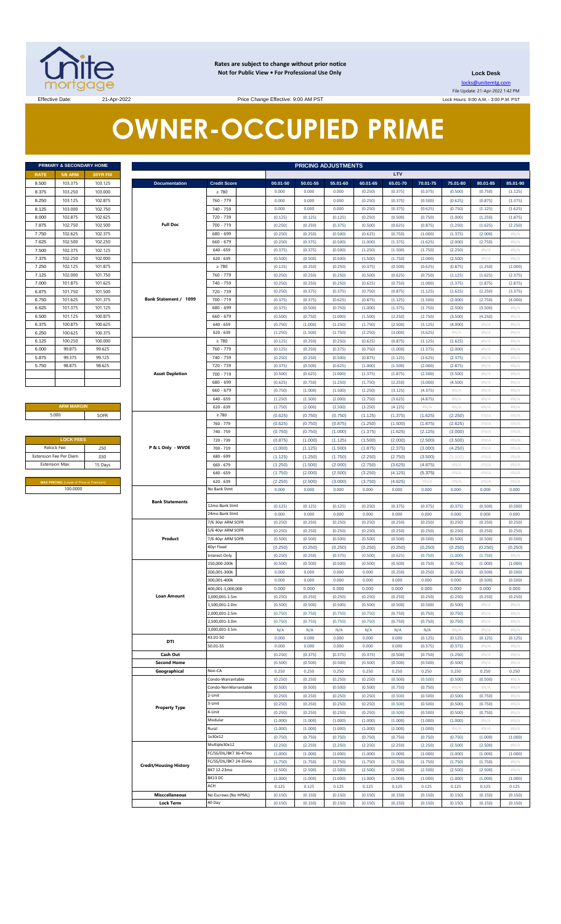

**Rates are subject to change without prior notice Not for Public View • For Professional Use Only** 

**Lock Desk** locks@unitemtg.com File Update: 21-Apr-2022 1:42 PM

Lock Hours: 9:00 A.M. - 3:00 P.M. PST

# **OWNER-OCCUPIED PRIME**

| <b>5/6 ARM</b><br><b>RATE</b><br><b>30YR FIX</b><br>103.375<br>8.500<br>103.125<br>103.250<br>8.375<br>103,000<br>8.250<br>103.125<br>102.875<br>8.125<br>103.000<br>102.750<br>102.875<br>102.625<br>8.000<br>102.500<br>102.750<br>7.875<br>102.625<br>102.375<br>7.750<br>102.500<br>102.250<br>7.625<br>102.125<br>102.375<br>7.500<br>7.375<br>102.250<br>102.000<br>7.250<br>102.125<br>101.875<br>102.000<br>101.750<br>7.125<br>7.000<br>101.875<br>101.625<br>101.750<br>101.500<br>6.875<br>101.375<br>6.750<br>101.625<br>101.375<br>101.125<br>6.625<br>101.125<br>100.875<br>6.500<br>6.375<br>100.875<br>100.625<br>100.625<br>100.375<br>6.250<br>6.125<br>100.250<br>100.000<br>99.875<br>99.625<br>6.000<br>5.875<br>99.375<br>99.125<br>98.875<br>98.625<br>5.750 | PRIMARY & SECONDARY HOME |  |  |  |  |  |  |
|-------------------------------------------------------------------------------------------------------------------------------------------------------------------------------------------------------------------------------------------------------------------------------------------------------------------------------------------------------------------------------------------------------------------------------------------------------------------------------------------------------------------------------------------------------------------------------------------------------------------------------------------------------------------------------------------------------------------------------------------------------------------------------------|--------------------------|--|--|--|--|--|--|
|                                                                                                                                                                                                                                                                                                                                                                                                                                                                                                                                                                                                                                                                                                                                                                                     |                          |  |  |  |  |  |  |
|                                                                                                                                                                                                                                                                                                                                                                                                                                                                                                                                                                                                                                                                                                                                                                                     |                          |  |  |  |  |  |  |
|                                                                                                                                                                                                                                                                                                                                                                                                                                                                                                                                                                                                                                                                                                                                                                                     |                          |  |  |  |  |  |  |
|                                                                                                                                                                                                                                                                                                                                                                                                                                                                                                                                                                                                                                                                                                                                                                                     |                          |  |  |  |  |  |  |
|                                                                                                                                                                                                                                                                                                                                                                                                                                                                                                                                                                                                                                                                                                                                                                                     |                          |  |  |  |  |  |  |
|                                                                                                                                                                                                                                                                                                                                                                                                                                                                                                                                                                                                                                                                                                                                                                                     |                          |  |  |  |  |  |  |
|                                                                                                                                                                                                                                                                                                                                                                                                                                                                                                                                                                                                                                                                                                                                                                                     |                          |  |  |  |  |  |  |
|                                                                                                                                                                                                                                                                                                                                                                                                                                                                                                                                                                                                                                                                                                                                                                                     |                          |  |  |  |  |  |  |
|                                                                                                                                                                                                                                                                                                                                                                                                                                                                                                                                                                                                                                                                                                                                                                                     |                          |  |  |  |  |  |  |
|                                                                                                                                                                                                                                                                                                                                                                                                                                                                                                                                                                                                                                                                                                                                                                                     |                          |  |  |  |  |  |  |
|                                                                                                                                                                                                                                                                                                                                                                                                                                                                                                                                                                                                                                                                                                                                                                                     |                          |  |  |  |  |  |  |
|                                                                                                                                                                                                                                                                                                                                                                                                                                                                                                                                                                                                                                                                                                                                                                                     |                          |  |  |  |  |  |  |
|                                                                                                                                                                                                                                                                                                                                                                                                                                                                                                                                                                                                                                                                                                                                                                                     |                          |  |  |  |  |  |  |
|                                                                                                                                                                                                                                                                                                                                                                                                                                                                                                                                                                                                                                                                                                                                                                                     |                          |  |  |  |  |  |  |
|                                                                                                                                                                                                                                                                                                                                                                                                                                                                                                                                                                                                                                                                                                                                                                                     |                          |  |  |  |  |  |  |
|                                                                                                                                                                                                                                                                                                                                                                                                                                                                                                                                                                                                                                                                                                                                                                                     |                          |  |  |  |  |  |  |
|                                                                                                                                                                                                                                                                                                                                                                                                                                                                                                                                                                                                                                                                                                                                                                                     |                          |  |  |  |  |  |  |
|                                                                                                                                                                                                                                                                                                                                                                                                                                                                                                                                                                                                                                                                                                                                                                                     |                          |  |  |  |  |  |  |
|                                                                                                                                                                                                                                                                                                                                                                                                                                                                                                                                                                                                                                                                                                                                                                                     |                          |  |  |  |  |  |  |
|                                                                                                                                                                                                                                                                                                                                                                                                                                                                                                                                                                                                                                                                                                                                                                                     |                          |  |  |  |  |  |  |
|                                                                                                                                                                                                                                                                                                                                                                                                                                                                                                                                                                                                                                                                                                                                                                                     |                          |  |  |  |  |  |  |
|                                                                                                                                                                                                                                                                                                                                                                                                                                                                                                                                                                                                                                                                                                                                                                                     |                          |  |  |  |  |  |  |
|                                                                                                                                                                                                                                                                                                                                                                                                                                                                                                                                                                                                                                                                                                                                                                                     |                          |  |  |  |  |  |  |
|                                                                                                                                                                                                                                                                                                                                                                                                                                                                                                                                                                                                                                                                                                                                                                                     |                          |  |  |  |  |  |  |
|                                                                                                                                                                                                                                                                                                                                                                                                                                                                                                                                                                                                                                                                                                                                                                                     |                          |  |  |  |  |  |  |
|                                                                                                                                                                                                                                                                                                                                                                                                                                                                                                                                                                                                                                                                                                                                                                                     |                          |  |  |  |  |  |  |

**ARM MARGIN** 5.000

| <b>LOCK FEES</b>                                  |      |  |  |  |  |
|---------------------------------------------------|------|--|--|--|--|
| Relock Fee:                                       | .250 |  |  |  |  |
| <b>Extension Fee Per Diem</b>                     | .030 |  |  |  |  |
| <b>Extension Max:</b><br>15 Days                  |      |  |  |  |  |
|                                                   |      |  |  |  |  |
| <b>BEAV DOICBIC</b> (I amount Delay as Department |      |  |  |  |  |

|             | PRIMARY & SECONDARY HOME                |          |                               | <b>PRICING ADJUSTMENTS</b>  |                    |                    |                    |                    |                    |                    |                    |                    |                 |
|-------------|-----------------------------------------|----------|-------------------------------|-----------------------------|--------------------|--------------------|--------------------|--------------------|--------------------|--------------------|--------------------|--------------------|-----------------|
| RATE        | <b>5/6 ARM</b>                          | 30YR FIX |                               |                             |                    |                    |                    |                    | <b>LTV</b>         |                    |                    |                    |                 |
| 8.500       | 103.375                                 | 103.125  | <b>Documentation</b>          | <b>Credit Score</b>         | 00.01-50           | 50.01-55           | 55.01-60           | 60.01-65           | 65.01-70           | 70.01-75           | 75.01-80           | 80.01-85           | 85.01-90        |
| 8.375       | 103.250                                 | 103.000  |                               | $\geq 780$                  | 0.000              | 0.000              | 0.000              | (0.250)            | (0.375)            | (0.375)            | (0.500)            | (0.750)            | (1.125)         |
| 8.250       | 103.125                                 | 102.875  |                               | 760 - 779                   | 0.000              | 0.000              | 0.000              | (0.250)            | (0.375)            | (0.500)            | (0.625)            | (0.875)            | (1.375)         |
| 8.125       | 103.000                                 | 102.750  |                               | 740 - 759                   | 0.000              | 0.000              | 0.000              | (0.250)            | (0.375)            | (0.625)            | (0.750)            | (1.125)            | (1.625)         |
| 8.000       | 102.875                                 | 102.625  |                               | 720 - 739                   | (0.125)            | (0.125)            | (0.125)            | (0.250)            | (0.500)            | (0.750)            | (1.000)            | (1.250)            | (1.875)         |
| 7.875       | 102.750                                 | 102.500  | <b>Full Doc</b>               | 700 - 719                   | (0.250)            | (0.250)            | (0.375)            | (0.500)            | (0.625)            | (0.875)            | (1.250)            | (1.625)            | (2.250)         |
| 7.750       | 102.625                                 | 102.375  |                               | 680 - 699                   | (0.250)            | (0.250)            | (0.500)            | (0.625)            | (0.750)            | (1.000)            | (1.375)            | (2.000)            | H N/A           |
| 7.625       | 102.500                                 | 102.250  |                               | $660 - 679$                 | (0.250)            | (0.375)            | (0.500)            | (1.000)            | (1.375)            | (1.625)            | (2.000)            | (2.750)            | #N/A            |
| 7.500       | 102.375                                 | 102.125  |                               | $640 - 659$                 | (0.375)            | (0.375)            | (0.500)            | (1.250)            | (1.500)            | (1.750)            | (2.250)            | $\#N/A$            | H N/A           |
| 7.375       | 102.250                                 | 102.000  |                               | $620 - 639$                 | (0.500)            | (0.500)            | (0.500)            | (1.500)            | (1.750)            | (2.000)            | (2.500)            | $\#N/A$            | H N/A           |
| 7.250       | 102.125                                 | 101.875  |                               | $\geq 780$                  | (0.125)            | (0.250)            | (0.250)            | (0.375)            | (0.500)            | (0.625)            | (0.875)            | (1.250)            | (2.000)         |
| 7.125       | 102.000                                 | 101.750  |                               | 760 - 779                   | (0.250)            | (0.250)            | (0.250)            | (0.500)            | (0.625)            | (0.750)            | (1.125)            | (1.625)            | (2.375)         |
| 7.000       | 101.875                                 | 101.625  |                               | 740 - 759                   | (0.250)            | (0.250)            | (0.250)            | (0.625)            | (0.750)            | (1.000)            | (1.375)            | (1.875)            | (2.875)         |
| 6.875       | 101.750                                 | 101.500  |                               | 720 - 739                   | (0.250)            | (0.375)            | (0.375)            | (0.750)            | (0.875)            | (1.125)            | (1.625)            | (2.250)            | (3.375)         |
| 6.750       | 101.625                                 | 101.375  | Bank Statement / 1099         | 700 - 719                   | (0.375)            | (0.375)            | (0.625)            | (0.875)            | (1.125)            | (1.500)            | (2.000)            | (2.750)            | (4.000)         |
| 6.625       | 101.375                                 | 101.125  |                               | 680 - 699                   | (0.375)            | (0.500)            | (0.750)            | (1.000)            | (1.375)            | (1.750)            | (2.500)            | (3.500)            | #N/A            |
| 6.500       | 101.125                                 | 100.875  |                               | $660 - 679$                 | (0.500)            | (0.750)            | (1.000)            | (1.500)            | (2.250)            | (2.750)            | (3.500)            | (4.250)            | #N/A            |
| 6.375       | 100.875                                 | 100.625  |                               | $640 - 659$                 | (0.750)            | (1.000)            | (1.250)            | (1.750)            | (2.500)            | (3.125)            | (4.000)            | $\#N/A$            | H N/A           |
| 6.250       | 100.625                                 | 100.375  |                               | $620 - 639$                 | (1.250)            | (1.500)            | (1.750)            | (2.250)            | (3.000)            | (3.625)            | #N/A               | $\#N/A$            | #N/A            |
| 6.125       | 100.250                                 | 100.000  |                               | $\geq 780$                  | (0.125)            | (0.250)            | (0.250)            |                    | (0.875)            | (1.125)            |                    |                    |                 |
|             |                                         |          |                               |                             |                    |                    |                    | (0.625)            |                    |                    | (1.625)            | #N/A               | H N/A           |
| 6.000       | 99.875                                  | 99.625   |                               | 760 - 779                   | (0.125)            | (0.250)            | (0.375)            | (0.750)            | (1.000)            | (1.375)            | (2.000)            | $\#N/A$            | #N/A            |
| 5.875       | 99.375                                  | 99.125   |                               | 740 - 759                   | (0.250)            | (0.250)            | (0.500)            | (0.875)            | (1.125)            | (1.625)            | (2.375)            | $\#N/A$            | H N/A           |
| 5.750       | 98.875                                  | 98.625   |                               | 720 - 739                   | (0.375)            | (0.500)            | (0.625)            | (1.000)            | (1.500)            | (2.000)            | (2.875)            | #N/A               | #N/A            |
|             |                                         |          | <b>Asset Depletion</b>        | $700 - 719$                 | (0.500)            | (0.625)            | (1.000)            | (1.375)            | (1.875)            | (2.500)            | (3.500)            | #N/A               | H N/A           |
|             |                                         |          |                               | 680 - 699                   | (0.625)            | (0.750)            | (1.250)            | (1.750)            | (2.250)            | (3.000)            | (4.500)            | #N/A               | #N/A            |
|             |                                         |          |                               | $660 - 679$                 | (0.750)            | (1.000)            | (1.500)            | (2.250)            | (3.125)            | (4.375)            | #N/A               | $\#N/A$            | H N/A           |
|             |                                         |          |                               | $640 - 659$                 | (1.250)            | (1.500)            | (2.000)            | (2.750)            | (3.625)            | (4.875)            | H N/A              | #N/A               | #N/A            |
|             | <b>ARM MARGIN</b>                       |          |                               | $620 - 639$                 | (1.750)            | (2.000)            | (2.500)            | (3.250)            | (4.125)            | $\#N/A$            | H N/A              | #N/A               | H N/A           |
|             | 5.000                                   | SOFR     |                               | $\geq 780$                  | (0.625)            | (0.750)            | (0.750)            | (1.125)            | (1.375)            | (1.625)            | (2.250)            | #N/A               | #N/A            |
|             |                                         |          |                               | 760 - 779                   | (0.625)            | (0.750)            | (0.875)            | (1.250)            | (1.500)            | (1.875)            | (2.625)            | #N/A               | #N/A            |
|             |                                         |          |                               | 740 - 759                   | (0.750)            | (0.750)            | (1.000)            | (1.375)            | (1.625)            | (2.125)            | (3.000)            | #N/A               | #N/A            |
|             | <b>LOCK FEES</b>                        |          |                               | 720 - 739                   | (0.875)            | (1.000)            | (1.125)            | (1.500)            | (2.000)            | (2.500)            | (3.500)            | #N/A               | #N/A            |
| Relock Fee: |                                         | .250     | P & L Only - WVOE             | 700 - 719                   | (1.000)            | (1.125)            | (1.500)            | (1.875)            | (2.375)            | (3.000)            | (4.250)            | #N/A               | #N/A            |
|             | xtension Fee Per Diem                   | .030     |                               | 680 - 699                   | (1.125)            | (1.250)            | (1.750)            | (2.250)            | (2.750)            | (3.500)            | (5.000)            | #N/A               | #N/A            |
|             | Extension Max:                          | 15 Days  |                               | 660 - 679                   | (1.250)            | (1.500)            | (2.000)            | (2.750)            | (3.625)            | (4.875)            | #N/A               | #N/A               | #N/A            |
|             |                                         |          |                               | $640 - 659$                 | (1.750)            | (2.000)            | (2.500)            | (3.250)            | (4.125)            | (5.375)            | #N/A               | #N/A               | #N/A            |
|             | MAX PRICING (Lower of Price or Premium) |          |                               | $620 - 639$                 | (2.250)            | (2.500)            | (3.000)            | (3.750)            | (4.625)            | #N/A               | #N/A               | #N/A               | #N/A            |
|             | 100.0000                                |          |                               | No Bank Stmt                | 0.000              | 0.000              | 0.000              | 0.000              | 0.000              | 0.000              | 0.000              | 0.000              | 0.000           |
|             |                                         |          | <b>Bank Statements</b>        |                             |                    |                    |                    |                    |                    |                    |                    |                    |                 |
|             |                                         |          |                               | 12mo Bank Stmt              | (0.125)            | (0.125)            | (0.125)            | (0.250)            | (0.375)            | (0.375)            | (0.375)            | (0.500)            | (0.500)         |
|             |                                         |          |                               | 24mo Bank Stmt              | 0.000              | 0.000              | 0.000              | 0.000              | 0.000              | 0.000              | 0.000              | 0.000              | 0.000           |
|             |                                         |          |                               | 7/6 30yr ARM SOFR           | (0.250)            | (0.250)            | (0.250)            | (0.250)            | (0.250)            | (0.250)            | (0.250)            | (0.250)            | (0.250)         |
|             |                                         |          | Product                       | 5/6 40yr ARM SOFR           | (0.250)            | (0.250)            | (0.250)            | (0.250)            | (0.250)            | (0.250)            | (0.250)            | (0.250)            | (0.250)         |
|             |                                         |          |                               | 7/6 40yr ARM SOFR           | (0.500)            | (0.500)            | (0.500)            | (0.500)            | (0.500)            | (0.500)            | (0.500)            | (0.500)            | (0.500)         |
|             |                                         |          |                               | 40yr Fixed                  | (0.250)            | (0.250)            | (0.250)            | (0.250)            | (0.250)            | (0.250)            | (0.250)            | (0.250)            | (0.250)         |
|             |                                         |          |                               | Interest-Only               | (0.250)            | (0.250)            | (0.375)            | (0.500)            | (0.625)            | (0.750)            | (1.000)            | (1.750)            | #N/A            |
|             |                                         |          |                               | 150,000-200k                | (0.500)            | (0.500)            | (0.500)            | (0.500)            | (0.500)            | (0.750)            | (0.750)            | (1.000)            | (1.000)         |
|             |                                         |          |                               | 200,001-300k                | 0.000              | 0.000              | 0.000              | 0.000              | (0.250)            | (0.250)            | (0.250)            | (0.500)            | (0.500)         |
|             |                                         |          |                               | 300,001-400k                | 0.000              | 0.000              | 0.000              | 0.000              | 0.000              | 0.000              | 0.000              | (0.500)            | (0.500)         |
|             |                                         |          |                               | 100,001-1,000,000           | 0.000              | 0.000              | 0.000              | 0.000              | 0.000              | 0.000              | 0.000              | 0.000              | 0.000           |
|             |                                         |          | <b>Loan Amount</b>            | .,000,001-1.5m              | (0.250)            | (0.250)            | (0.250)            | (0.250)            | (0.250)            | (0.250)            | (0.250)            | (0.250)            | (0.250)         |
|             |                                         |          |                               | ,500,001-2.0m               | (0.500)            | (0.500)            | (0.500)            | (0.500)            | (0.500)            | (0.500)            | (0.500)            | $\#N/A$            | #N/A            |
|             |                                         |          |                               | .000,001-2.5m               | (0.750)            | (0.750)            | (0.750)            | (0.750)            | (0.750)            | (0.750)            | (0.750)            | #N/A               | #N/A            |
|             |                                         |          |                               | ,500,001-3.0m               | (0.750)            | (0.750)            | (0.750)            | (0.750)            | (0.750)            | (0.750)            | (0.750)            | $\#N/A$            | #N/A            |
|             |                                         |          |                               | ,000,001-3.5m<br>43.01-50   | N/A                | N/A                | N/A                | N/A                | N/A                | N/A                | #N/A               | #N/A               | #N/A            |
|             |                                         |          | DTI                           | 50.01-55                    | 0.000              | 0.000              | 0.000              | 0.000              | 0.000              | (0.125)            | (0.125)            | (0.125)            | (0.125)         |
|             |                                         |          |                               |                             | 0.000              | 0.000              | 0.000              | 0.000              | 0.000              | (0.375)            | (0.375)            | #N/A               | #N/A            |
|             |                                         |          | Cash Out                      |                             | (0.250)            | (0.375)            | (0.375)            | (0.375)            | (0.500)            | (0.750)            | (1.250)            | $\#N/A$            | #N/A            |
|             |                                         |          | <b>Second Home</b>            |                             | (0.500)            | (0.500)            | (0.500)            | (0.500)            | (0.500)            | (0.500)            | (0.500)            | #N/A               | #N/A            |
|             |                                         |          | Geographical                  | Non-CA<br>Condo-Warrantable | 0.250              | 0.250              | 0.250              | 0.250              | 0.250              | 0.250              | 0.250              | 0.250              | 0.250           |
|             |                                         |          |                               |                             | (0.250)            | (0.250)            | (0.250)            | (0.250)            | (0.500)            | (0.500)            | (0.500)            | (0.500)            | #N/A            |
|             |                                         |          |                               | Condo-NonWarrantable        | (0.500)            | (0.500)            | (0.500)            | (0.500)            | (0.750)            | (0.750)            | #N/A               | $\#N/A$            | #N/A            |
|             |                                         |          |                               | 2-Unit                      | (0.250)            | (0.250)            | (0.250)            | (0.250)            | (0.500)            | (0.500)            | (0.500)            | (0.750)            | #N/A            |
|             |                                         |          | <b>Property Type</b>          | 3-Unit                      | (0.250)            | (0.250)            | (0.250)            | (0.250)            | (0.500)            | (0.500)            | (0.500)            | (0.750)            | #N/A            |
|             |                                         |          |                               | 4-Unit<br>Modular           | (0.250)            | (0.250)            | (0.250)            | (0.250)            | (0.500)            | (0.500)            | (0.500)            | (0.750)            | #N/A            |
|             |                                         |          |                               | Rural                       | (1.000)            | (1.000)            | (1.000)            | (1.000)            | (1.000)            | (1.000)            | (1.000)            | $\#N/A$            | #N/A            |
|             |                                         |          |                               | 1x30x12                     | (1.000)            | (1.000)            | (1.000)            | (1.000)            | (1.000)            | (1.000)            | #N/A               | $\#N/A$            | #N/A            |
|             |                                         |          |                               | Multiple30x12               | (0.750)<br>(2.250) | (0.750)            | (0.750)            | (0.750)            | (0.750)            | (0.750)            | (0.750)            | (1.000)            | (1.000)         |
|             |                                         |          |                               | FC/SS/DIL/BK7 36-47mo       | (1.000)            | (2.250)<br>(1.000) | (2.250)<br>(1.000) | (2.250)<br>(1.000) | (2.250)<br>(1.000) | (2.250)<br>(1.000) | (2.500)<br>(1.000) | (2.500)<br>(1.000) | #N/A<br>(1.000) |
|             |                                         |          |                               | FC/SS/DIL/BK7 24-35mo       | (1.750)            | (1.750)            |                    |                    |                    |                    |                    |                    |                 |
|             |                                         |          | <b>Credit/Housing History</b> | BK7 12-23mo                 |                    |                    | (1.750)            | (1.750)            | (1.750)            | (1.750)            | (1.750)            | (1.750)            | #N/A            |
|             |                                         |          |                               | BK13 DC                     | (2.500)            | (2.500)            | (2.500)            | (2.500)            | (2.500)            | (2.500)            | (2.500)            | (2.500)            | #N/A            |
|             |                                         |          |                               | ACH                         | (1.000)            | (1.000)            | (1.000)            | (1.000)            | (1.000)            | (1.000)            | (1.000)            | (1.000)            | (1.000)         |
|             |                                         |          |                               |                             | 0.125              | 0.125              | 0.125              | 0.125              | 0.125              | 0.125              | 0.125              | 0.125              | 0.125           |
|             |                                         |          | <b>Misccellaneous</b>         | No Escrows (No HPML)        | (0.150)            | (0.150)            | (0.150)            | (0.150)            | (0.150)            | (0.150)            | (0.150)            | (0.150)            | (0.150)         |
|             |                                         |          | <b>Lock Term</b>              | 40 Day                      | (0.150)            | (0.150)            | (0.150)            | (0.150)            | (0.150)            | (0.150)            | (0.150)            | (0.150)            | (0.150)         |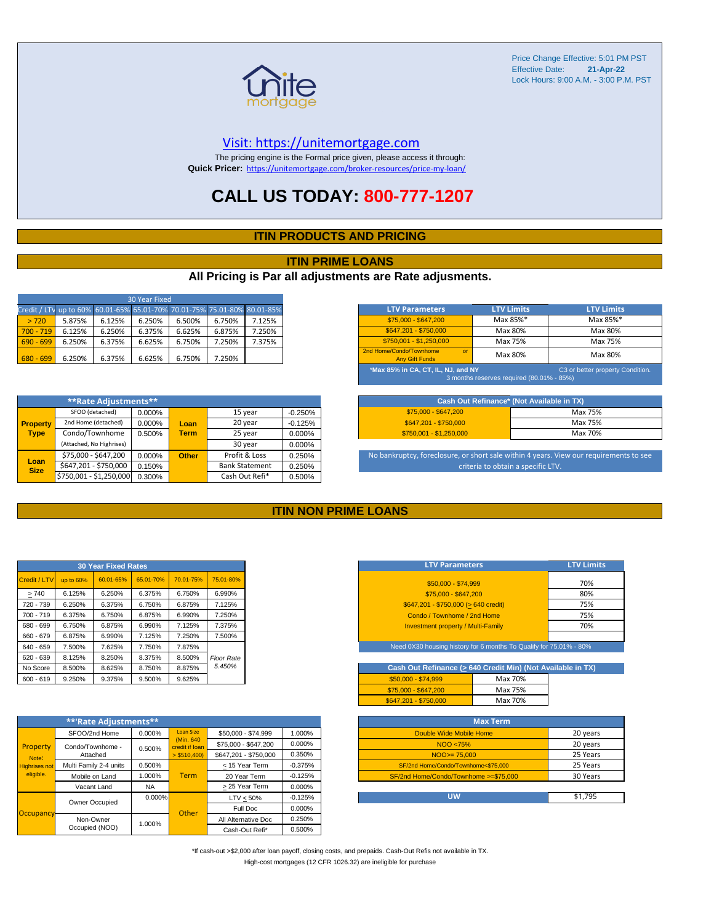

#### [V](https://unitemortgage.com/)isit: https://unitemortgage.com

The pricing engine is the Formal price given, please access it through: **Quick Pricer:** [https://un](https://unitemortgage.com/broker-resources/price-my-loan/)itemortgage.com/broker-resources/price-my-loan/

### **CALL US TODAY: 800-777-1207**

#### **ITIN PRODUCTS AND PRICING**

#### **ITIN PRIME LOANS**

#### **All Pricing is Par all adjustments are Rate adjusments.**

| 30 Year Fixed                                                            |        |        |        |        |        |        |  |
|--------------------------------------------------------------------------|--------|--------|--------|--------|--------|--------|--|
| Credit / LTV up to 60% 60.01-65% 65.01-70% 70.01-75% 75.01-80% 80.01-85% |        |        |        |        |        |        |  |
| > 720                                                                    | 5.875% | 6.125% | 6.250% | 6.500% | 6.750% | 7.125% |  |
| $700 - 719$                                                              | 6.125% | 6.250% | 6.375% | 6.625% | 6.875% | 7.250% |  |
| $690 - 699$                                                              | 6.250% | 6.375% | 6.625% | 6.750% | 7.250% | 7.375% |  |
| $680 - 699$                                                              | 6.250% | 6.375% | 6.625% | 6.750% | 7.250% |        |  |

|                     | **Rate Adjustments**     |        |              |                       |           |
|---------------------|--------------------------|--------|--------------|-----------------------|-----------|
|                     | SFOO (detached)          | 0.000% |              | 15 year               | $-0.250%$ |
| <b>Property</b>     | 2nd Home (detached)      | 0.000% | Loan         | 20 year               | $-0.125%$ |
| <b>Type</b>         | Condo/Townhome           | 0.500% | <b>Term</b>  | 25 year               | 0.000%    |
|                     | (Attached, No Highrises) |        |              | 30 year               | 0.000%    |
|                     | \$75,000 - \$647,200     | 0.000% | <b>Other</b> | Profit & Loss         | 0.250%    |
| Loan<br><b>Size</b> | \$647,201 - \$750,000    | 0.150% |              | <b>Bank Statement</b> | 0.250%    |
|                     | \$750,001 - \$1,250,000  | 0.300% |              | Cash Out Refi*        | 0.500%    |

| <b>LTV Parameters</b>                                                                                               | <b>LTV Limits</b> | <b>LTV Limits</b> |  |  |  |
|---------------------------------------------------------------------------------------------------------------------|-------------------|-------------------|--|--|--|
| \$75,000 - \$647,200                                                                                                | Max 85%*          | Max 85%*          |  |  |  |
| \$647.201 - \$750.000                                                                                               | Max 80%           | Max 80%           |  |  |  |
| \$750.001 - \$1.250.000                                                                                             | Max 75%           | Max 75%           |  |  |  |
| 2nd Home/Condo/Townhome<br>$\alpha$<br><b>Any Gift Funds</b>                                                        | Max 80%           | Max 80%           |  |  |  |
| *Max 85% in CA, CT, IL, NJ, and NY<br>C3 or better property Condition.<br>3 months reserves required (80.01% - 85%) |                   |                   |  |  |  |

| Cash Out Refinance* (Not Available in TX) |         |  |  |  |  |
|-------------------------------------------|---------|--|--|--|--|
| \$75,000 - \$647,200                      | Max 75% |  |  |  |  |
| \$647.201 - \$750.000                     | Max 75% |  |  |  |  |
| $$750.001 - $1.250.000$                   | Max 70% |  |  |  |  |

No bankruptcy, foreclosure, or short sale within 4 years. View our requirements to see criteria to obtain a specific LTV.

#### **ITIN NON PRIME LOANS**

|              |           | <b>30 Year Fixed Rates</b> |           |           |                   |
|--------------|-----------|----------------------------|-----------|-----------|-------------------|
| Credit / LTV | up to 60% | 60.01-65%                  | 65.01-70% | 70.01-75% | 75.01-80%         |
| >740         | 6.125%    | 6.250%                     | 6.375%    | 6.750%    | 6.990%            |
| 720 - 739    | 6.250%    | 6.375%                     | 6.750%    | 6.875%    | 7.125%            |
| $700 - 719$  | 6.375%    | 6.750%                     | 6.875%    | 6.990%    | 7.250%            |
| 680 - 699    | 6.750%    | 6.875%                     | 6.990%    | 7.125%    | 7.375%            |
| 660 - 679    | 6.875%    | 6.990%                     | 7.125%    | 7.250%    | 7.500%            |
| 640 - 659    | 7.500%    | 7.625%                     | 7.750%    | 7.875%    |                   |
| $620 - 639$  | 8.125%    | 8.250%                     | 8.375%    | 8.500%    | <b>Floor Rate</b> |
| No Score     | 8.500%    | 8.625%                     | 8.750%    | 8.875%    | 5.450%            |
| $600 - 619$  | 9.250%    | 9.375%                     | 9.500%    | 9.625%    |                   |

|                      | **'Rate Adjustments**  |           |                              |                       |           |
|----------------------|------------------------|-----------|------------------------------|-----------------------|-----------|
|                      | SFOO/2nd Home          | 0.000%    | <b>Loan Size</b>             | \$50,000 - \$74,999   | 1.000%    |
| Property             | Condo/Townhome -       | 0.500%    | (Min. 640)<br>credit if Ioan | \$75,000 - \$647,200  | 0.000%    |
| Note:                | Attached               |           | $>$ \$510,400)               | \$647.201 - \$750.000 | 0.350%    |
| <b>Highrises not</b> | Multi Family 2-4 units | 0.500%    |                              | < 15 Year Term        | $-0.375%$ |
| eligible.            | Mobile on Land         | 1.000%    | <b>Term</b>                  | 20 Year Term          | $-0.125%$ |
|                      | Vacant Land            | <b>NA</b> |                              | > 25 Year Term        | 0.000%    |
|                      | Owner Occupied         | $0.000\%$ |                              | $LTV < 50\%$          | $-0.125%$ |
| Occupancy            |                        |           | Other                        | Full Doc              | 0.000%    |
|                      | Non-Owner              | 1.000%    |                              | All Alternative Doc   | 0.250%    |
|                      | Occupied (NOO)         |           |                              | Cash-Out Refi*        | 0.500%    |

| <b>LTV Parameters</b>                        | <b>LTV Limits</b> |
|----------------------------------------------|-------------------|
| \$50,000 - \$74,999                          | 70%               |
| \$75,000 - \$647,200                         | 80%               |
| $$647,201 - $750,000 (> 640 \text{ credit})$ | 75%               |
| Condo / Townhome / 2nd Home                  | 75%               |
| <b>Investment property / Multi-Family</b>    | 70%               |
|                                              |                   |

Need 0X30 housing history for 6 months To Qualify for 75.01% - 80%

| Cash Out Refinance (> 640 Credit Min) (Not Available in TX) |         |  |  |  |  |  |  |
|-------------------------------------------------------------|---------|--|--|--|--|--|--|
| $$50.000 - $74.999$                                         | Max 70% |  |  |  |  |  |  |
| \$75,000 - \$647,200                                        | Max 75% |  |  |  |  |  |  |
| \$647.201 - \$750.000                                       | Max 70% |  |  |  |  |  |  |

| <b>Max Term</b>                       |          |
|---------------------------------------|----------|
| Double Wide Mobile Home               | 20 years |
| NOO <75%                              | 20 years |
| $NOO > = 75.000$                      | 25 Years |
| SF/2nd Home/Condo/Townhome<\$75,000   | 25 Years |
| SF/2nd Home/Condo/Townhome >=\$75,000 | 30 Years |
|                                       |          |
| บพ                                    | \$1.795  |

\*If cash-out >\$2,000 after loan payoff, closing costs, and prepaids. Cash-Out Refis not available in TX. High-cost mortgages (12 CFR 1026.32) are ineligible for purchase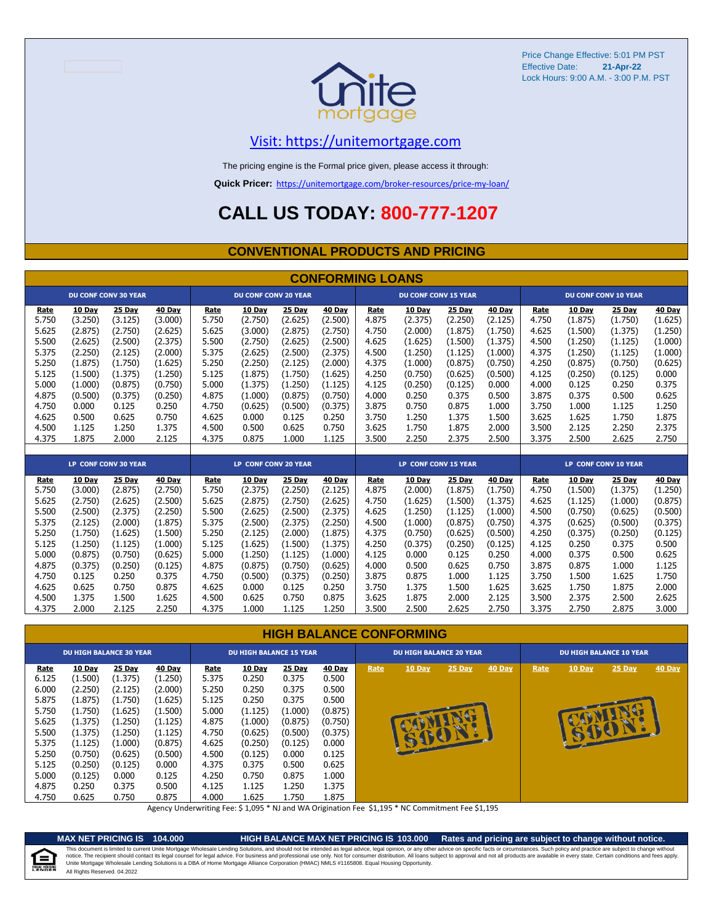

### [V](https://unitemortgage.com/)isit: https://unitemortgage.com

The pricing engine is the Formal price given, please access it through:

**Quick Pricer:** [https://un](https://unitemortgage.com/broker-resources/price-my-loan/)itemortgage.com/broker-resources/price-my-loan/

### **CALL US TODAY: 800-777-1207**

#### **CONVENTIONAL PRODUCTS AND PRICING**

|       |               |                             |         |       |                             |         | <b>CONFORMING LOANS</b> |       |                             |         |         |       |               |                             |         |
|-------|---------------|-----------------------------|---------|-------|-----------------------------|---------|-------------------------|-------|-----------------------------|---------|---------|-------|---------------|-----------------------------|---------|
|       |               | <b>DU CONF CONV 30 YEAR</b> |         |       | <b>DU CONF CONV 20 YEAR</b> |         |                         |       | <b>DU CONF CONV 15 YEAR</b> |         |         |       |               | <b>DU CONF CONV 10 YEAR</b> |         |
| Rate  | <b>10 Day</b> | 25 Day                      | 40 Day  | Rate  | 10 Day                      | 25 Day  | 40 Day                  | Rate  | 10 Day                      | 25 Day  | 40 Day  | Rate  | <b>10 Day</b> | 25 Day                      | 40 Day  |
| 5.750 | (3.250)       | (3.125)                     | (3.000) | 5.750 | (2.750)                     | (2.625) | (2.500)                 | 4.875 | (2.375)                     | (2.250) | (2.125) | 4.750 | (1.875)       | (1.750)                     | (1.625) |
| 5.625 | (2.875)       | (2.750)                     | (2.625) | 5.625 | (3.000)                     | (2.875) | (2.750)                 | 4.750 | (2.000)                     | (1.875) | (1.750) | 4.625 | (1.500)       | (1.375)                     | (1.250) |
| 5.500 | (2.625)       | (2.500)                     | (2.375) | 5.500 | (2.750)                     | (2.625) | (2.500)                 | 4.625 | (1.625)                     | (1.500) | (1.375) | 4.500 | (1.250)       | (1.125)                     | (1.000) |
| 5.375 | (2.250)       | (2.125)                     | (2.000) | 5.375 | (2.625)                     | (2.500) | (2.375)                 | 4.500 | (1.250)                     | (1.125) | (1.000) | 4.375 | (1.250)       | (1.125)                     | (1.000) |
| 5.250 | (1.875)       | (1.750)                     | (1.625) | 5.250 | (2.250)                     | (2.125) | (2.000)                 | 4.375 | (1.000)                     | (0.875) | (0.750) | 4.250 | (0.875)       | (0.750)                     | (0.625) |
| 5.125 | (1.500)       | (1.375)                     | (1.250) | 5.125 | (1.875)                     | (1.750) | (1.625)                 | 4.250 | (0.750)                     | (0.625) | (0.500) | 4.125 | (0.250)       | (0.125)                     | 0.000   |
| 5.000 | (1.000)       | (0.875)                     | (0.750) | 5.000 | (1.375)                     | (1.250) | (1.125)                 | 4.125 | (0.250)                     | (0.125) | 0.000   | 4.000 | 0.125         | 0.250                       | 0.375   |
| 4.875 | (0.500)       | (0.375)                     | (0.250) | 4.875 | (1.000)                     | (0.875) | (0.750)                 | 4.000 | 0.250                       | 0.375   | 0.500   | 3.875 | 0.375         | 0.500                       | 0.625   |
| 4.750 | 0.000         | 0.125                       | 0.250   | 4.750 | (0.625)                     | (0.500) | (0.375)                 | 3.875 | 0.750                       | 0.875   | 1.000   | 3.750 | 1.000         | 1.125                       | 1.250   |
| 4.625 | 0.500         | 0.625                       | 0.750   | 4.625 | 0.000                       | 0.125   | 0.250                   | 3.750 | 1.250                       | 1.375   | 1.500   | 3.625 | 1.625         | 1.750                       | 1.875   |
| 4.500 | 1.125         | 1.250                       | 1.375   | 4.500 | 0.500                       | 0.625   | 0.750                   | 3.625 | 1.750                       | 1.875   | 2.000   | 3.500 | 2.125         | 2.250                       | 2.375   |
| 4.375 | 1.875         | 2.000                       | 2.125   | 4.375 | 0.875                       | 1.000   | 1.125                   | 3.500 | 2.250                       | 2.375   | 2.500   | 3.375 | 2.500         | 2.625                       | 2.750   |
|       |               |                             |         |       |                             |         |                         |       |                             |         |         |       |               |                             |         |
|       |               | <b>LP CONF CONV 30 YEAR</b> |         |       | <b>LP CONF CONV 20 YEAR</b> |         |                         |       | <b>LP CONF CONV 15 YEAR</b> |         |         |       |               | <b>LP CONF CONV 10 YEAR</b> |         |
| Rate  | <b>10 Day</b> | 25 Day                      | 40 Day  | Rate  | 10 Day                      | 25 Day  | 40 Day                  | Rate  | 10 Day                      | 25 Day  | 40 Day  | Rate  | 10 Day        | 25 Day                      | 40 Day  |
| 5.750 | (3.000)       | (2.875)                     | (2.750) | 5.750 | (2.375)                     | (2.250) | (2.125)                 | 4.875 | (2.000)                     | (1.875) | (1.750) | 4.750 | (1.500)       | (1.375)                     | (1.250) |
| 5.625 | (2.750)       | (2.625)                     | (2.500) | 5.625 | (2.875)                     | (2.750) | (2.625)                 | 4.750 | (1.625)                     | (1.500) | (1.375) | 4.625 | (1.125)       | (1.000)                     | (0.875) |
| 5.500 | (2.500)       | (2.375)                     | (2.250) | 5.500 | (2.625)                     | (2.500) | (2.375)                 | 4.625 | (1.250)                     | (1.125) | (1.000) | 4.500 | (0.750)       | (0.625)                     | (0.500) |
| 5.375 | (2.125)       | (2.000)                     | (1.875) | 5.375 | (2.500)                     | (2.375) | (2.250)                 | 4.500 | (1.000)                     | (0.875) | (0.750) | 4.375 | (0.625)       | (0.500)                     | (0.375) |
| 5.250 | (1.750)       | (1.625)                     | (1.500) | 5.250 | (2.125)                     | (2.000) | (1.875)                 | 4.375 | (0.750)                     | (0.625) | (0.500) | 4.250 | (0.375)       | (0.250)                     | (0.125) |
| 5.125 | (1.250)       | (1.125)                     | (1.000) | 5.125 | (1.625)                     | (1.500) | (1.375)                 | 4.250 | (0.375)                     | (0.250) | (0.125) | 4.125 | 0.250         | 0.375                       | 0.500   |
| 5.000 | (0.875)       | (0.750)                     | (0.625) | 5.000 | (1.250)                     | (1.125) | (1.000)                 | 4.125 | 0.000                       | 0.125   | 0.250   | 4.000 | 0.375         | 0.500                       | 0.625   |
| 4.875 | (0.375)       | (0.250)                     | (0.125) | 4.875 | (0.875)                     | (0.750) | (0.625)                 | 4.000 | 0.500                       | 0.625   | 0.750   | 3.875 | 0.875         | 1.000                       | 1.125   |
| 4.750 | 0.125         | 0.250                       | 0.375   | 4.750 | (0.500)                     | (0.375) | (0.250)                 | 3.875 | 0.875                       | 1.000   | 1.125   | 3.750 | 1.500         | 1.625                       | 1.750   |
| 4.625 | 0.625         | 0.750                       | 0.875   | 4.625 | 0.000                       | 0.125   | 0.250                   | 3.750 | 1.375                       | 1.500   | 1.625   | 3.625 | 1.750         | 1.875                       | 2.000   |
| 4.500 | 1.375         | 1.500                       | 1.625   | 4.500 | 0.625                       | 0.750   | 0.875                   | 3.625 | 1.875                       | 2.000   | 2.125   | 3.500 | 2.375         | 2.500                       | 2.625   |

#### **HIGH BALANCE CONFORMING**

4.375 2.000 2.125 2.250 4.375 1.000 1.125 1.250 3.500 2.500 2.625 2.750 3.375 2.750 2.875 3.000

|                      | <b>DU HIGH BALANCE 30 YEAR</b> |                   |                   |               | <b>DU HIGH BALANCE 15 YEAR</b> |                 |                 |      | <b>DU HIGH BALANCE 20 YEAR</b> |          |        |      |        | <b>DU HIGH BALANCE 10 YEAR</b> |        |
|----------------------|--------------------------------|-------------------|-------------------|---------------|--------------------------------|-----------------|-----------------|------|--------------------------------|----------|--------|------|--------|--------------------------------|--------|
| <b>Rate</b><br>6.125 | 10 Day<br>(1.500)              | 25 Day<br>(1.375) | 40 Day<br>(1.250) | Rate<br>5.375 | <b>10 Day</b><br>0.250         | 25 Day<br>0.375 | 40 Day<br>0.500 | Rate | <b>10 Day</b>                  | $25$ Day | 40 Day | Rate | 10 Day | $25$ Day                       | 40 Day |
| 6.000                | (2.250)                        | (2.125)           | (2.000)           | 5.250         | 0.250                          | 0.375           | 0.500           |      |                                |          |        |      |        |                                |        |
| 5.875                | (1.875)                        | (1.750)           | (1.625)           | 5.125         | 0.250                          | 0.375           | 0.500           |      |                                |          |        |      |        |                                |        |
| 5.750                | (1.750)                        | (1.625)           | (1.500)           | 5.000         | (1.125)                        | (1.000)         | (0.875)         |      |                                |          |        |      |        |                                |        |
| 5.625                | (1.375)                        | (1.250)           | (1.125)           | 4.875         | (1.000)                        | (0.875)         | (0.750)         |      |                                |          |        |      |        |                                |        |
| 5.500                | (1.375)                        | (1.250)           | (1.125)           | 4.750         | (0.625)                        | (0.500)         | (0.375)         |      |                                |          |        |      |        |                                |        |
| 5.375                | (1.125)                        | (1.000)           | (0.875)           | 4.625         | (0.250)                        | (0.125)         | 0.000           |      |                                |          |        |      |        |                                |        |
| 5.250                | (0.750)                        | (0.625)           | (0.500)           | 4.500         | (0.125)                        | 0.000           | 0.125           |      |                                |          |        |      |        |                                |        |
| 5.125                | (0.250)                        | (0.125)           | 0.000             | 4.375         | 0.375                          | 0.500           | 0.625           |      |                                |          |        |      |        |                                |        |
| 5.000                | (0.125)                        | 0.000             | 0.125             | 4.250         | 0.750                          | 0.875           | 1.000           |      |                                |          |        |      |        |                                |        |
| 4.875                | 0.250                          | 0.375             | 0.500             | 4.125         | 1.125                          | 1.250           | 1.375           |      |                                |          |        |      |        |                                |        |
| 4.750                | 0.625                          | 0.750             | 0.875             | 4.000         | 1.625                          | 1.750           | 1.875           |      |                                |          |        |      |        |                                |        |

Agency Underwriting Fee: \$ 1,095 \* NJ and WA Origination Fee \$1,195 \* NC Commitment Fee \$1,195

e

**MAX NET PRICING IS 104.000 HIGH BALANCE MAX NET PRICING IS 103.000 Rates and pricing are subject to change without notice.** All Rights Reserved. 04.2022 This document is limited to current Unite Mortgage Wholesale Lending Solutions, and should not be intended as legal advice, legal opinion, or any other advice on specific facts or circumstances. Such policy and practice ar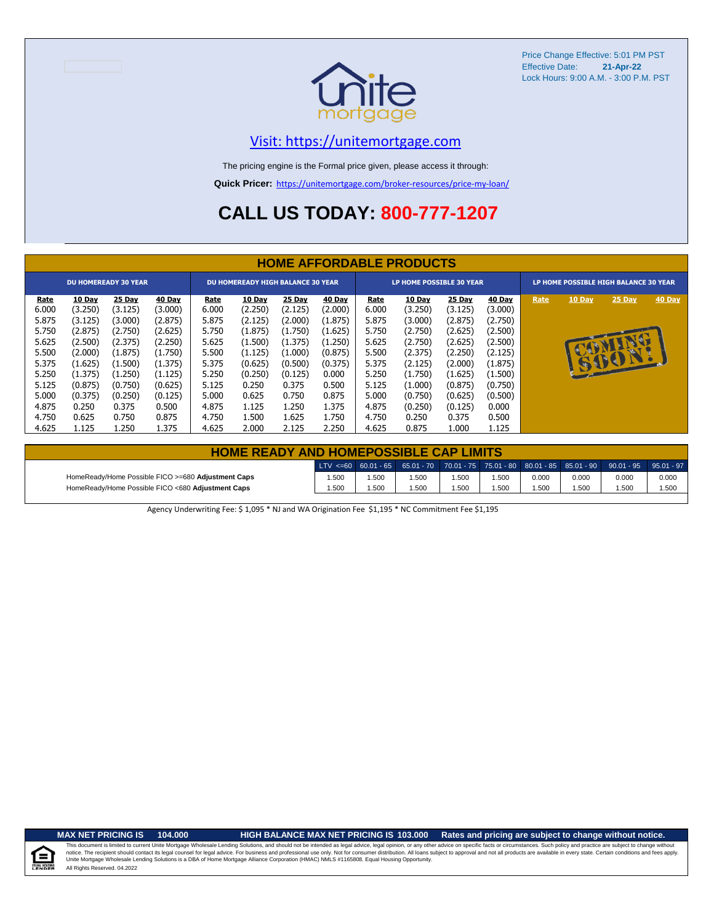

### [V](https://unitemortgage.com/)isit: https://unitemortgage.com

The pricing engine is the Formal price given, please access it through:

**Quick Pricer:** [https://un](https://unitemortgage.com/broker-resources/price-my-loan/)itemortgage.com/broker-resources/price-my-loan/

# **CALL US TODAY: 800-777-1207**

|                                                                   |                                                                          |                                                                          |                                                                          |                                                            |                                                                                 |                                                                                 |                                                                                 |                                                            | <b>HOME AFFORDABLE PRODUCTS</b>                                          |                                                                                 |                                                                                 |      |                                       |                              |        |
|-------------------------------------------------------------------|--------------------------------------------------------------------------|--------------------------------------------------------------------------|--------------------------------------------------------------------------|------------------------------------------------------------|---------------------------------------------------------------------------------|---------------------------------------------------------------------------------|---------------------------------------------------------------------------------|------------------------------------------------------------|--------------------------------------------------------------------------|---------------------------------------------------------------------------------|---------------------------------------------------------------------------------|------|---------------------------------------|------------------------------|--------|
|                                                                   |                                                                          | <b>DU HOMEREADY 30 YEAR</b>                                              |                                                                          |                                                            | <b>DU HOMEREADY HIGH BALANCE 30 YEAR</b>                                        |                                                                                 |                                                                                 |                                                            | LP HOME POSSIBLE 30 YEAR                                                 |                                                                                 |                                                                                 |      | LP HOME POSSIBLE HIGH BALANCE 30 YEAR |                              |        |
| <u>Rate</u><br>6.000<br>5.875<br>5.750<br>5.625<br>5.500<br>5.375 | 10 Day<br>(3.250)<br>(3.125)<br>(2.875)<br>(2.500)<br>(2.000)<br>(1.625) | 25 Day<br>(3.125)<br>(3.000)<br>(2.750)<br>(2.375)<br>(1.875)<br>(1.500) | 40 Day<br>(3.000)<br>(2.875)<br>(2.625)<br>(2.250)<br>(1.750)<br>(1.375) | Rate<br>6.000<br>5.875<br>5.750<br>5.625<br>5.500<br>5.375 | <b>10 Day</b><br>(2.250)<br>(2.125)<br>(1.875)<br>(1.500)<br>(1.125)<br>(0.625) | <b>25 Day</b><br>(2.125)<br>(2.000)<br>(1.750)<br>(1.375)<br>(1.000)<br>(0.500) | <b>40 Day</b><br>(2.000)<br>(1.875)<br>(1.625)<br>(1.250)<br>(0.875)<br>(0.375) | Rate<br>6.000<br>5.875<br>5.750<br>5.625<br>5.500<br>5.375 | 10 Day<br>(3.250)<br>(3.000)<br>(2.750)<br>(2.750)<br>(2.375)<br>(2.125) | <b>25 Day</b><br>(3.125)<br>(2.875)<br>(2.625)<br>(2.625)<br>(2.250)<br>(2.000) | <b>40 Day</b><br>(3.000)<br>(2.750)<br>(2.500)<br>(2.500)<br>(2.125)<br>(1.875) | Rate | 10 Day                                | 25 Day<br><b>R</b><br>151101 | 40 Day |
| 5.250<br>5.125<br>5.000<br>4.875<br>4.750<br>4.625                | (1.375)<br>(0.875)<br>(0.375)<br>0.250<br>0.625<br>1.125                 | (1.250)<br>(0.750)<br>(0.250)<br>0.375<br>0.750<br>1.250                 | (1.125)<br>(0.625)<br>(0.125)<br>0.500<br>0.875<br>1.375                 | 5.250<br>5.125<br>5.000<br>4.875<br>4.750<br>4.625         | (0.250)<br>0.250<br>0.625<br>1.125<br>1.500<br>2.000                            | (0.125)<br>0.375<br>0.750<br>1.250<br>1.625<br>2.125                            | 0.000<br>0.500<br>0.875<br>1.375<br>1.750<br>2.250                              | 5.250<br>5.125<br>5.000<br>4.875<br>4.750<br>4.625         | (1.750)<br>(1.000)<br>(0.750)<br>(0.250)<br>0.250<br>0.875               | (1.625)<br>(0.875)<br>(0.625)<br>(0.125)<br>0.375<br>1.000                      | (1.500)<br>(0.750)<br>(0.500)<br>0.000<br>0.500<br>1.125                        |      |                                       |                              |        |

| <b>HOME READY AND HOMEPOSSIBLE CAP LIMITS</b>      |       |      |       |       |      |       |       |                                                                                                  |       |
|----------------------------------------------------|-------|------|-------|-------|------|-------|-------|--------------------------------------------------------------------------------------------------|-------|
|                                                    |       |      |       |       |      |       |       | LTV <=60 60.01 - 65 65.01 - 70 70.01 - 75 75.01 - 80 80.01 - 85 85.01 - 90 90.01 - 95 95.01 - 97 |       |
| HomeReady/Home Possible FICO >=680 Adjustment Caps | 1.500 | .500 | 1.500 | 1.500 | 500، | 0.000 | 0.000 | 0.000                                                                                            | 0.000 |
| HomeReady/Home Possible FICO <680 Adjustment Caps  | 1.500 | .500 | 1.500 | 1.500 | .500 | .500  | 1.500 | .500                                                                                             | 1.500 |

Agency Underwriting Fee: \$ 1,095 \* NJ and WA Origination Fee \$1,195 \* NC Commitment Fee \$1,195

 $\equiv$ 

**MAX NET PRICING IS 104.000 HIGH BALANCE MAX NET PRICING IS 103.000 Rates and pricing are subject to change without notice.**

All Rights Reserved. 04.2022 This document is limited to current Unite Mortgage Wholesale Lending Solutions, and should not be intended as legal advice, legal opinion, or any other advice on specific facts or circumstances. Such policy and practice ar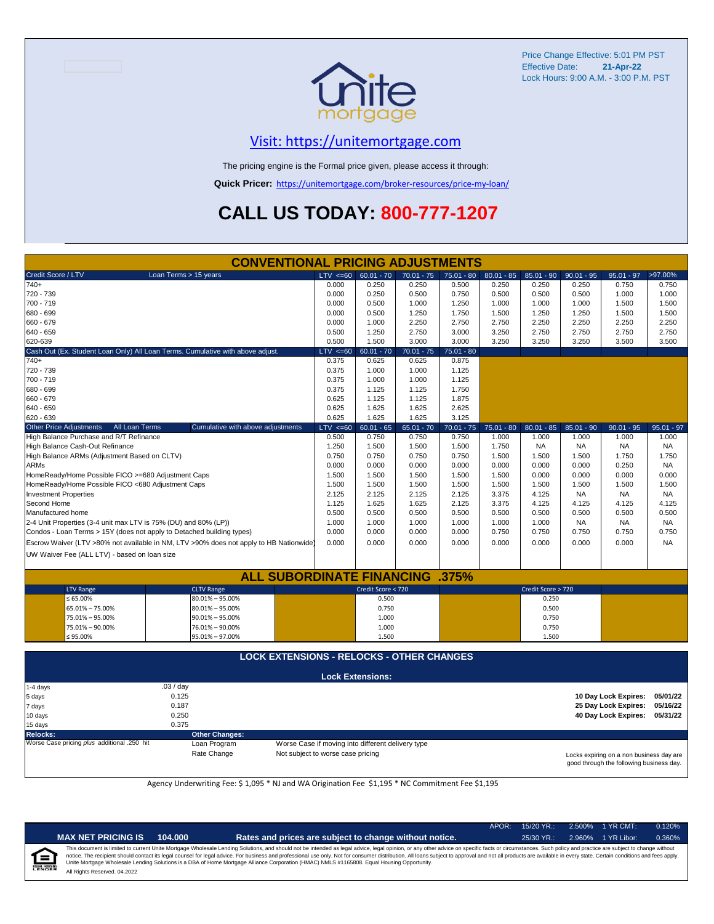

### [V](https://unitemortgage.com/)isit: https://unitemortgage.com

The pricing engine is the Formal price given, please access it through:

**Quick Pricer:** [https://un](https://unitemortgage.com/broker-resources/price-my-loan/)itemortgage.com/broker-resources/price-my-loan/

# **CALL US TODAY: 800-777-1207**

|                                                                       |                | <b>CONVENTIONAL PRICING ADJUSTMENTS</b>                                                |             |                         |              |              |              |                    |              |                      |              |
|-----------------------------------------------------------------------|----------------|----------------------------------------------------------------------------------------|-------------|-------------------------|--------------|--------------|--------------|--------------------|--------------|----------------------|--------------|
| Credit Score / LTV                                                    |                | Loan Terms > 15 years                                                                  | LTV < 60    | $60.01 - 70$            | $70.01 - 75$ | $75.01 - 80$ | $80.01 - 85$ | $85.01 - 90$       | $90.01 - 95$ | $95.01 - 97$         | >97.00%      |
| $740+$                                                                |                |                                                                                        | 0.000       | 0.250                   | 0.250        | 0.500        | 0.250        | 0.250              | 0.250        | 0.750                | 0.750        |
| 720 - 739                                                             |                |                                                                                        | 0.000       | 0.250                   | 0.500        | 0.750        | 0.500        | 0.500              | 0.500        | 1.000                | 1.000        |
| 700 - 719                                                             |                |                                                                                        | 0.000       | 0.500                   | 1.000        | 1.250        | 1.000        | 1.000              | 1.000        | 1.500                | 1.500        |
| 680 - 699                                                             |                |                                                                                        | 0.000       | 0.500                   | 1.250        | 1.750        | 1.500        | 1.250              | 1.250        | 1.500                | 1.500        |
| 660 - 679                                                             |                |                                                                                        | 0.000       | 1.000                   | 2.250        | 2.750        | 2.750        | 2.250              | 2.250        | 2.250                | 2.250        |
| 640 - 659                                                             |                |                                                                                        | 0.500       | 1.250                   | 2.750        | 3.000        | 3.250        | 2.750              | 2.750        | 2.750                | 2.750        |
| 620-639                                                               |                |                                                                                        | 0.500       | 1.500                   | 3.000        | 3.000        | 3.250        | 3.250              | 3.250        | 3.500                | 3.500        |
|                                                                       |                | Cash Out (Ex. Student Loan Only) All Loan Terms. Cumulative with above adjust.         | LTV < 60    | $60.01 - 70$            | $70.01 - 75$ | $75.01 - 80$ |              |                    |              |                      |              |
| $740+$                                                                |                |                                                                                        | 0.375       | 0.625                   | 0.625        | 0.875        |              |                    |              |                      |              |
| 720 - 739                                                             |                |                                                                                        | 0.375       | 1.000                   | 1.000        | 1.125        |              |                    |              |                      |              |
| 700 - 719                                                             |                |                                                                                        | 0.375       | 1.000                   | 1.000        | 1.125        |              |                    |              |                      |              |
| 680 - 699                                                             |                |                                                                                        | 0.375       | 1.125                   | 1.125        | 1.750        |              |                    |              |                      |              |
| 660 - 679                                                             |                |                                                                                        | 0.625       | 1.125                   | 1.125        | 1.875        |              |                    |              |                      |              |
| 640 - 659                                                             |                |                                                                                        | 0.625       | 1.625                   | 1.625        | 2.625        |              |                    |              |                      |              |
| 620 - 639                                                             |                |                                                                                        | 0.625       | 1.625                   | 1.625        | 3.125        |              |                    |              |                      |              |
| <b>Other Price Adjustments</b>                                        | All Loan Terms | Cumulative with above adjustments                                                      | $LTV < =60$ | $60.01 - 65$            | $65.01 - 70$ | $70.01 - 75$ | $75.01 - 80$ | $80.01 - 85$       | $85.01 - 90$ | $90.01 - 95$         | $95.01 - 97$ |
| High Balance Purchase and R/T Refinance                               |                |                                                                                        | 0.500       | 0.750                   | 0.750        | 0.750        | 1.000        | 1.000              | 1.000        | 1.000                | 1.000        |
| High Balance Cash-Out Refinance                                       |                |                                                                                        | 1.250       | 1.500                   | 1.500        | 1.500        | 1.750        | <b>NA</b>          | <b>NA</b>    | NA                   | <b>NA</b>    |
| High Balance ARMs (Adjustment Based on CLTV)                          |                |                                                                                        | 0.750       | 0.750                   | 0.750        | 0.750        | 1.500        | 1.500              | 1.500        | 1.750                | 1.750        |
| <b>ARMs</b>                                                           |                |                                                                                        | 0.000       | 0.000                   | 0.000        | 0.000        | 0.000        | 0.000              | 0.000        | 0.250                | <b>NA</b>    |
| HomeReady/Home Possible FICO >=680 Adjustment Caps                    |                |                                                                                        | 1.500       | 1.500                   | 1.500        | 1.500        | 1.500        | 0.000              | 0.000        | 0.000                | 0.000        |
| HomeReady/Home Possible FICO <680 Adjustment Caps                     |                |                                                                                        | 1.500       | 1.500                   | 1.500        | 1.500        | 1.500        | 1.500              | 1.500        | 1.500                | 1.500        |
| <b>Investment Properties</b>                                          |                |                                                                                        | 2.125       | 2.125                   | 2.125        | 2.125        | 3.375        | 4.125              | <b>NA</b>    | <b>NA</b>            | NA.          |
| Second Home                                                           |                |                                                                                        | 1.125       | 1.625                   | 1.625        | 2.125        | 3.375        | 4.125              | 4.125        | 4.125                | 4.125        |
| Manufactured home                                                     |                |                                                                                        | 0.500       | 0.500                   | 0.500        | 0.500        | 0.500        | 0.500              | 0.500        | 0.500                | 0.500        |
| 2-4 Unit Properties (3-4 unit max LTV is 75% (DU) and 80% (LP))       |                |                                                                                        | 1.000       | 1.000                   | 1.000        | 1.000        | 1.000        | 1.000              | NA           | <b>NA</b>            | NA           |
| Condos - Loan Terms > 15Y (does not apply to Detached building types) |                |                                                                                        | 0.000       | 0.000                   | 0.000        | 0.000        | 0.750        | 0.750              | 0.750        | 0.750                | 0.750        |
|                                                                       |                |                                                                                        |             | 0.000                   | 0.000        | 0.000        | 0.000        | 0.000              |              | 0.000                | <b>NA</b>    |
|                                                                       |                | Escrow Waiver (LTV >80% not available in NM, LTV >90% does not apply to HB Nationwide) | 0.000       |                         |              |              |              |                    | 0.000        |                      |              |
| UW Waiver Fee (ALL LTV) - based on loan size                          |                |                                                                                        |             |                         |              |              |              |                    |              |                      |              |
|                                                                       |                |                                                                                        |             |                         |              |              |              |                    |              |                      |              |
|                                                                       |                | <b>ALL SUBORDINATE FINANCING</b>                                                       |             |                         |              | .375%        |              |                    |              |                      |              |
| <b>LTV Range</b>                                                      |                | <b>CLTV Range</b>                                                                      |             | Credit Score < 720      |              |              |              | Credit Score > 720 |              |                      |              |
| $\leq 65.00\%$                                                        |                | $80.01\% - 95.00\%$                                                                    |             | 0.500                   |              |              |              | 0.250              |              |                      |              |
| 65.01% - 75.00%                                                       |                | $80.01\% - 95.00\%$                                                                    |             | 0.750                   |              |              |              | 0.500              |              |                      |              |
| 75.01% - 95.00%                                                       |                | $90.01\% - 95.00\%$                                                                    |             | 1.000                   |              |              |              | 0.750              |              |                      |              |
| 75.01% - 90.00%                                                       |                | 76.01% - 90.00%                                                                        |             | 1.000                   |              |              |              | 0.750              |              |                      |              |
| $\leq 95.00\%$                                                        |                | 95.01% - 97.00%                                                                        |             | 1.500                   |              |              |              | 1.500              |              |                      |              |
|                                                                       |                | <b>LOCK EXTENSIONS - RELOCKS - OTHER CHANGES</b>                                       |             |                         |              |              |              |                    |              |                      |              |
|                                                                       |                |                                                                                        |             |                         |              |              |              |                    |              |                      |              |
|                                                                       |                |                                                                                        |             | <b>Lock Extensions:</b> |              |              |              |                    |              |                      |              |
| 1-4 days                                                              | .03 / day      |                                                                                        |             |                         |              |              |              |                    |              |                      |              |
| 5 days                                                                |                | 0.125                                                                                  |             |                         |              |              |              |                    |              | 10 Day Lock Expires: | 05/01/22     |
| 7 days                                                                |                | 0.187                                                                                  |             |                         |              |              |              |                    |              | 25 Day Lock Expires: | 05/16/22     |
| 10 days                                                               |                | 0.250                                                                                  |             |                         |              |              |              |                    |              | 40 Day Lock Expires: | 05/31/22     |
| 15 days                                                               |                | 0.375                                                                                  |             |                         |              |              |              |                    |              |                      |              |

**Relocks: Other Changes:**

Loan Program *plus* Worse Case if moving into different delivery type

Rate Change Not subject to worse case pricing

Locks expiring on a non business day are good through the following business day.

Agency Underwriting Fee: \$ 1,095 \* NJ and WA Origination Fee \$1,195 \* NC Commitment Fee \$1,195

|   | NDEF | ¢ |
|---|------|---|
| î |      |   |

| <b>PRICING IS</b> | 104.000 |
|-------------------|---------|
|-------------------|---------|

**MAX NET PRICING IS 104.000 Rates and prices are subject to change without notice.** 25/30 YR.: 2.960% 1 YR Libor: 0.360%

APOR: 15/20 YR.: 2.500% 1 YR CMT: 0.120%

All Rights Reserved. 04.2022 This document is limited to current Unite Mortgage Wholesale Lending Solutions, and should not be intended as legal advice, legal opinion, or any other advice on specific facts or circumstances. Such policy and practice ar